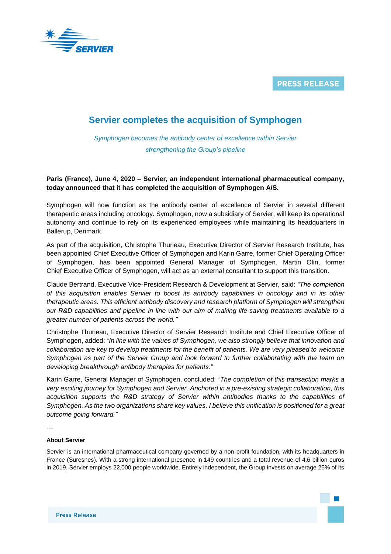

**PRESS RELEASE** 

## **Servier completes the acquisition of Symphogen**

*Symphogen becomes the antibody center of excellence within Servier strengthening the Group's pipeline*

## **Paris (France), June 4, 2020 – Servier, an independent international pharmaceutical company, today announced that it has completed the acquisition of Symphogen A/S.**

Symphogen will now function as the antibody center of excellence of Servier in several different therapeutic areas including oncology. Symphogen, now a subsidiary of Servier, will keep its operational autonomy and continue to rely on its experienced employees while maintaining its headquarters in Ballerup, Denmark.

As part of the acquisition, Christophe Thurieau, Executive Director of Servier Research Institute, has been appointed Chief Executive Officer of Symphogen and Karin Garre, former Chief Operating Officer of Symphogen, has been appointed General Manager of Symphogen. Martin Olin, former Chief Executive Officer of Symphogen, will act as an external consultant to support this transition.

Claude Bertrand, Executive Vice-President Research & Development at Servier, said: *"The completion of this acquisition enables Servier to boost its antibody capabilities in oncology and in its other therapeutic areas. This efficient antibody discovery and research platform of Symphogen will strengthen our R&D capabilities and pipeline in line with our aim of making life-saving treatments available to a greater number of patients across the world."*

Christophe Thurieau, Executive Director of Servier Research Institute and Chief Executive Officer of Symphogen, added: *"In line with the values of Symphogen, we also strongly believe that innovation and collaboration are key to develop treatments for the benefit of patients. We are very pleased to welcome Symphogen as part of the Servier Group and look forward to further collaborating with the team on developing breakthrough antibody therapies for patients."*

Karin Garre, General Manager of Symphogen, concluded: *"The completion of this transaction marks a very exciting journey for Symphogen and Servier. Anchored in a pre-existing strategic collaboration, this acquisition supports the R&D strategy of Servier within antibodies thanks to the capabilities of Symphogen. As the two organizations share key values, I believe this unification is positioned for a great outcome going forward."*

---

## **About Servier**

Servier is an international pharmaceutical company governed by a non-profit foundation, with its headquarters in France (Suresnes). With a strong international presence in 149 countries and a total revenue of 4.6 billion euros in 2019, Servier employs 22,000 people worldwide. Entirely independent, the Group invests on average 25% of its